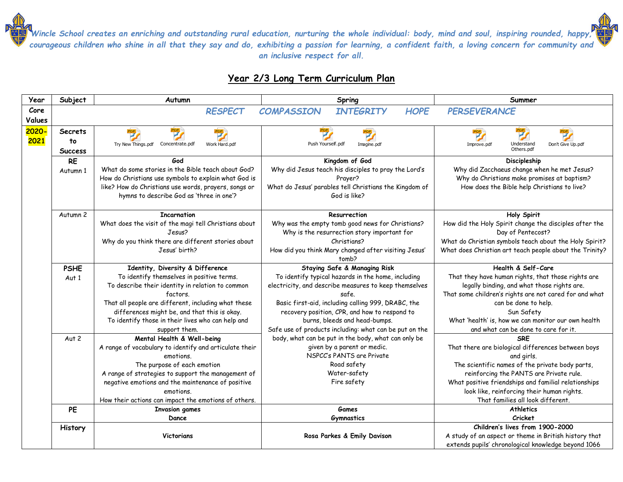## **Year 2/3 Long Term Curriculum Plan**

| Year   | Subject        | Autumn                                                                                           | Spring                                                                                                        | Summer                                                                                   |
|--------|----------------|--------------------------------------------------------------------------------------------------|---------------------------------------------------------------------------------------------------------------|------------------------------------------------------------------------------------------|
| Core   |                | <b>RESPECT</b>                                                                                   | <b>HOPE</b><br><b>COMPASSION</b><br><b>INTEGRITY</b>                                                          | <b>PERSEVERANCE</b>                                                                      |
| Values |                |                                                                                                  |                                                                                                               |                                                                                          |
| 2020   | <b>Secrets</b> |                                                                                                  | 罗                                                                                                             |                                                                                          |
| 2021   | to             | Try New Things.pdf<br>Concentrate.pdf<br>Work Hard.pdf                                           | Push Yourself.pdf<br>Imagine.pdf                                                                              | Understand<br>Don't Give Up.pdf<br>Improve.pdf                                           |
|        | <b>Success</b> |                                                                                                  |                                                                                                               | Others.pdf                                                                               |
|        | <b>RE</b>      | God                                                                                              | Kingdom of God                                                                                                | Discipleship                                                                             |
|        | Autumn 1       | What do some stories in the Bible teach about God?                                               | Why did Jesus teach his disciples to pray the Lord's                                                          | Why did Zacchaeus change when he met Jesus?                                              |
|        |                | How do Christians use symbols to explain what God is                                             | Prayer?                                                                                                       | Why do Christians make promises at baptism?                                              |
|        |                | like? How do Christians use words, prayers, songs or<br>hymns to describe God as 'three in one'? | What do Jesus' parables tell Christians the Kingdom of<br>God is like?                                        | How does the Bible help Christians to live?                                              |
|        |                |                                                                                                  |                                                                                                               |                                                                                          |
|        | Autumn 2       | <b>Incarnation</b>                                                                               | Resurrection                                                                                                  | <b>Holy Spirit</b>                                                                       |
|        |                | What does the visit of the magi tell Christians about                                            | Why was the empty tomb good news for Christians?                                                              | How did the Holy Spirit change the disciples after the                                   |
|        |                | Jesus?                                                                                           | Why is the resurrection story important for                                                                   | Day of Pentecost?                                                                        |
|        |                | Why do you think there are different stories about                                               | Christians?                                                                                                   | What do Christian symbols teach about the Holy Spirit?                                   |
|        |                | Jesus' birth?                                                                                    | How did you think Mary changed after visiting Jesus'<br>tomb?                                                 | What does Christian art teach people about the Trinity?                                  |
|        | <b>PSHE</b>    | Identity, Diversity & Difference                                                                 | <b>Staying Safe &amp; Managing Risk</b>                                                                       | Health & Self-Care                                                                       |
|        | Aut 1          | To identify themselves in positive terms.                                                        | To identify typical hazards in the home, including                                                            | That they have human rights, that those rights are                                       |
|        |                | To describe their identity in relation to common                                                 | electricity, and describe measures to keep themselves                                                         | legally binding, and what those rights are.                                              |
|        |                | factors.                                                                                         | safe.                                                                                                         | That some children's rights are not cared for and what                                   |
|        |                | That all people are different, including what these                                              | Basic first-aid, including calling 999, DRABC, the                                                            | can be done to help.                                                                     |
|        |                | differences might be, and that this is okay.                                                     | recovery position, CPR, and how to respond to                                                                 | Sun Safety                                                                               |
|        |                | To identify those in their lives who can help and                                                | burns, bleeds and head-bumps.                                                                                 | What 'health' is, how we can monitor our own health                                      |
|        |                | support them.                                                                                    | Safe use of products including: what can be put on the<br>body, what can be put in the body, what can only be | and what can be done to care for it.<br><b>SRF</b>                                       |
|        | Aut 2          | Mental Health & Well-being<br>A range of vocabulary to identify and articulate their             | given by a parent or medic.                                                                                   | That there are biological differences between boys                                       |
|        |                | emotions.                                                                                        | NSPCC's PANTS are Private                                                                                     | and girls.                                                                               |
|        |                | The purpose of each emotion                                                                      | Road safety                                                                                                   | The scientific names of the private body parts,                                          |
|        |                | A range of strategies to support the management of                                               | Water-safety                                                                                                  | reinforcing the PANTS are Private rule.                                                  |
|        |                | negative emotions and the maintenance of positive                                                | Fire safety                                                                                                   | What positive friendships and familial relationships                                     |
|        |                | emotions.                                                                                        |                                                                                                               | look like, reinforcing their human rights.                                               |
|        |                | How their actions can impact the emotions of others.                                             |                                                                                                               | That families all look different.                                                        |
|        | <b>PE</b>      | <b>Invasion games</b>                                                                            | <b>Games</b>                                                                                                  | <b>Athletics</b>                                                                         |
|        |                | Dance                                                                                            | <b>Gymnastics</b>                                                                                             | Cricket                                                                                  |
|        | History        | Victorians                                                                                       | Rosa Parkes & Emily Davison                                                                                   | Children's lives from 1900-2000<br>A study of an aspect or theme in British history that |
|        |                |                                                                                                  |                                                                                                               | extends pupils' chronological knowledge beyond 1066                                      |
|        |                |                                                                                                  |                                                                                                               |                                                                                          |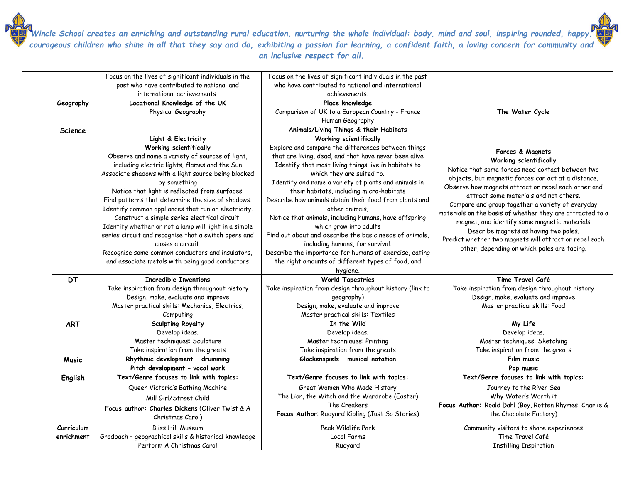|                | Focus on the lives of significant individuals in the                      | Focus on the lives of significant individuals in the past                                  |                                                           |
|----------------|---------------------------------------------------------------------------|--------------------------------------------------------------------------------------------|-----------------------------------------------------------|
|                | past who have contributed to national and                                 | who have contributed to national and international                                         |                                                           |
|                | international achievements.                                               | achievements.                                                                              |                                                           |
| Geography      | Locational Knowledge of the UK                                            | Place knowledge                                                                            |                                                           |
|                | Physical Geography                                                        | Comparison of UK to a European Country - France                                            | The Water Cycle                                           |
|                |                                                                           | Human Geography                                                                            |                                                           |
| <b>Science</b> |                                                                           | Animals/Living Things & their Habitats                                                     |                                                           |
|                | Light & Electricity                                                       | Working scientifically                                                                     |                                                           |
|                | Working scientifically                                                    | Explore and compare the differences between things                                         | Forces & Magnets                                          |
|                | Observe and name a variety of sources of light,                           | that are living, dead, and that have never been alive                                      | Working scientifically                                    |
|                | including electric lights, flames and the Sun                             | Identify that most living things live in habitats to                                       | Notice that some forces need contact between two          |
|                | Associate shadows with a light source being blocked                       | which they are suited to.                                                                  | objects, but magnetic forces can act at a distance.       |
|                | by something                                                              | Identify and name a variety of plants and animals in                                       | Observe how magnets attract or repel each other and       |
|                | Notice that light is reflected from surfaces.                             | their habitats, including micro-habitats                                                   | attract some materials and not others.                    |
|                | Find patterns that determine the size of shadows.                         | Describe how animals obtain their food from plants and                                     | Compare and group together a variety of everyday          |
|                | Identify common appliances that run on electricity.                       | other animals.                                                                             | materials on the basis of whether they are attracted to a |
|                | Construct a simple series electrical circuit.                             | Notice that animals, including humans, have offspring                                      | magnet, and identify some magnetic materials              |
|                | Identify whether or not a lamp will light in a simple                     | which grow into adults                                                                     | Describe magnets as having two poles.                     |
|                | series circuit and recognise that a switch opens and<br>closes a circuit. | Find out about and describe the basic needs of animals,<br>including humans, for survival. | Predict whether two magnets will attract or repel each    |
|                | Recognise some common conductors and insulators                           | Describe the importance for humans of exercise, eating                                     | other, depending on which poles are facing.               |
|                | and associate metals with being good conductors                           | the right amounts of different types of food, and                                          |                                                           |
|                |                                                                           | hygiene.                                                                                   |                                                           |
| <b>DT</b>      | <b>Incredible Inventions</b>                                              | <b>World Tapestries</b>                                                                    | Time Travel Café                                          |
|                | Take inspiration from design throughout history                           | Take inspiration from design throughout history (link to                                   | Take inspiration from design throughout history           |
|                | Design, make, evaluate and improve                                        | geography)                                                                                 | Design, make, evaluate and improve                        |
|                | Master practical skills: Mechanics, Electrics,                            | Design, make, evaluate and improve                                                         | Master practical skills: Food                             |
|                | Computing                                                                 | Master practical skills: Textiles                                                          |                                                           |
| <b>ART</b>     | <b>Sculpting Royalty</b>                                                  | In the Wild                                                                                | My Life                                                   |
|                | Develop ideas.                                                            | Develop ideas.                                                                             | Develop ideas.                                            |
|                | Master techniques: Sculpture                                              | Master techniques: Printing                                                                | Master techniques: Sketching                              |
|                | Take inspiration from the greats                                          | Take inspiration from the greats                                                           | Take inspiration from the greats                          |
| <b>Music</b>   | Rhythmic development - drumming                                           | Glockenspiels - musical notation                                                           | Film music                                                |
|                | Pitch development - vocal work                                            |                                                                                            | Pop music                                                 |
| English        | Text/Genre focuses to link with topics:                                   | Text/Genre focuses to link with topics:                                                    | Text/Genre focuses to link with topics:                   |
|                | Queen Victoria's Bathing Machine                                          | Great Women Who Made History                                                               | Journey to the River Sea                                  |
|                | Mill Girl/Street Child                                                    | The Lion, the Witch and the Wardrobe (Easter)                                              | Why Water's Worth it                                      |
|                | Focus author: Charles Dickens (Oliver Twist & A                           | The Creakers                                                                               | Focus Author: Roald Dahl (Boy, Rotten Rhymes, Charlie &   |
|                | Christmas Carol)                                                          | Focus Author: Rudyard Kipling (Just So Stories)                                            | the Chocolate Factory)                                    |
| Curriculum     | <b>Bliss Hill Museum</b>                                                  | Peak Wildlife Park                                                                         | Community visitors to share experiences                   |
| enrichment     | Gradbach - geographical skills & historical knowledge                     | Local Farms                                                                                | Time Travel Café                                          |
|                | Perform A Christmas Carol                                                 | Rudyard                                                                                    | <b>Instilling Inspiration</b>                             |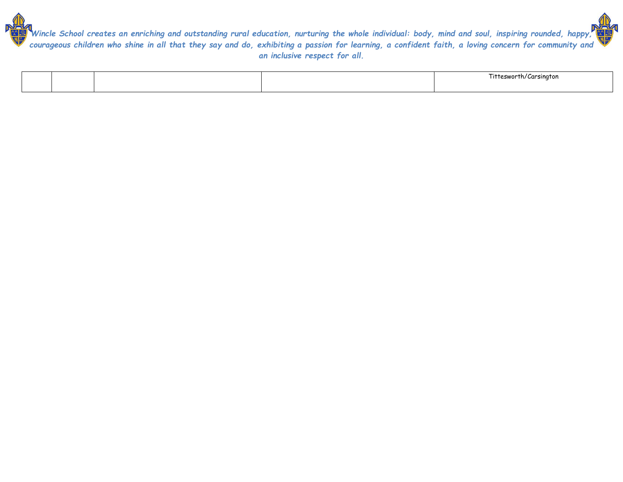

|  |  | littesworth/Carsington |
|--|--|------------------------|
|  |  |                        |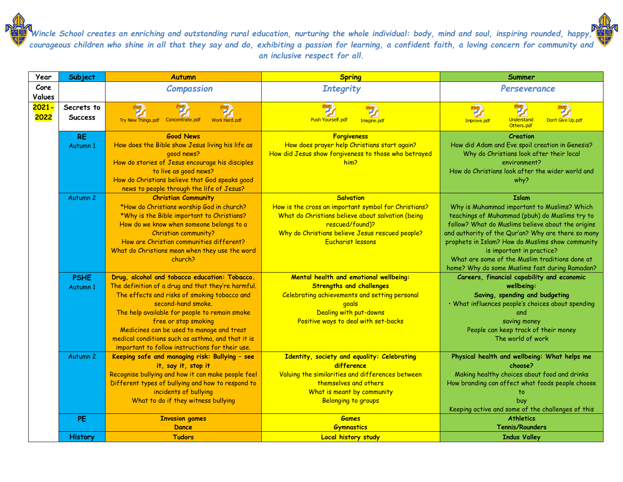| Year     | Subject             | <b>Autumn</b>                                                                                        | <b>Spring</b>                                             | Summer                                                  |
|----------|---------------------|------------------------------------------------------------------------------------------------------|-----------------------------------------------------------|---------------------------------------------------------|
| Core     |                     | <b>Compassion</b>                                                                                    | <b>Integrity</b>                                          | Perseverance                                            |
| Values   |                     |                                                                                                      |                                                           |                                                         |
| $2021 -$ | Secrets to          | 啰<br>寧                                                                                               |                                                           | 寧                                                       |
| 2022     | <b>Success</b>      | Try New Things.pdf Concentrate.pdf<br><b>Work Hard.pdf</b>                                           | Push Yourself.pdf                                         | Don't Give Up.pdf<br>Understand                         |
|          |                     |                                                                                                      | Imagine.pdf                                               | Improve.pdf<br>Others.pdf                               |
|          | <b>RE</b>           | <b>Good News</b>                                                                                     | <b>Forgiveness</b>                                        | Creation                                                |
|          | Autumn 1            | How does the Bible show Jesus living his life as                                                     | How does prayer help Christians start again?              | How did Adam and Eve spoil creation in Genesis?         |
|          |                     | good news?                                                                                           | How did Jesus show forgiveness to those who betrayed      | Why do Christians look after their local                |
|          |                     | How do stories of Jesus encourage his disciples                                                      | him?                                                      | environment?                                            |
|          |                     | to live as good news?                                                                                |                                                           | How do Christians look after the wider world and        |
|          |                     | How do Christians believe that God speaks good                                                       |                                                           | why?                                                    |
|          |                     | news to people through the life of Jesus?                                                            |                                                           |                                                         |
|          | Autumn <sub>2</sub> | <b>Christian Community</b>                                                                           | <b>Salvation</b>                                          | <b>Islam</b>                                            |
|          |                     | *How do Christians worship God in church?                                                            | How is the cross an important symbol for Christians?      | Why is Muhammad important to Muslims? Which             |
|          |                     | *Why is the Bible important to Christians?                                                           | What do Christians believe about salvation (being         | teachings of Muhammad (pbuh) do Muslims try to          |
|          |                     | How do we know when someone belongs to a                                                             | rescued/found)?                                           | follow? What do Muslims believe about the origins       |
|          |                     | Christian community?                                                                                 | Why do Christians believe Jesus rescued people?           | and authority of the Qur'an? Why are there so many      |
|          |                     | How are Christian communities different?                                                             | <b>Eucharist lessons</b>                                  | prophets in Islam? How do Muslims show community        |
|          |                     | What do Christians mean when they use the word                                                       |                                                           | is important in practice?                               |
|          |                     | church?                                                                                              |                                                           | What are some of the Muslim traditions done at          |
|          |                     |                                                                                                      |                                                           | home? Why do some Muslims fast during Ramadan?          |
|          | <b>PSHE</b>         | Drug, alcohol and tobacco education: Tobacco.                                                        | Mental health and emotional wellbeing:                    | Careers, financial capability and economic              |
|          | Autumn 1            | The definition of a drug and that they're harmful.                                                   | <b>Strengths and challenges</b>                           | wellbeing:                                              |
|          |                     | The effects and risks of smoking tobacco and                                                         | Celebrating achievements and setting personal             | Saving, spending and budgeting                          |
|          |                     | second-hand smoke.                                                                                   | goals                                                     | . What influences people's choices about spending       |
|          |                     | The help available for people to remain smoke                                                        | Dealing with put-downs                                    | and                                                     |
|          |                     | free or stop smoking                                                                                 | Positive ways to deal with set-backs                      | saving money                                            |
|          |                     | Medicines can be used to manage and treat                                                            |                                                           | People can keep track of their money                    |
|          |                     | medical conditions such as asthma, and that it is<br>important to follow instructions for their use. |                                                           | The world of work                                       |
|          |                     |                                                                                                      |                                                           |                                                         |
|          | Autumn 2            | Keeping safe and managing risk: Bullying - see<br>it, say it, stop it                                | Identity, society and equality: Celebrating<br>difference | Physical health and wellbeing: What helps me<br>choose? |
|          |                     | Recognise bullying and how it can make people feel                                                   | Valuing the similarities and differences between          | Making healthy choices about food and drinks            |
|          |                     | Different types of bullying and how to respond to                                                    | themselves and others                                     | How branding can affect what foods people choose        |
|          |                     | incidents of bullying                                                                                | What is meant by community                                |                                                         |
|          |                     | What to do if they witness bullying                                                                  | <b>Belonging to groups</b>                                | buy                                                     |
|          |                     |                                                                                                      |                                                           | Keeping active and some of the challenges of this       |
|          | <b>PE</b>           | <b>Invasion games</b>                                                                                | <b>Games</b>                                              | <b>Athletics</b>                                        |
|          |                     | Dance                                                                                                | <b>Gymnastics</b>                                         | <b>Tennis/Rounders</b>                                  |
|          | <b>History</b>      | <b>Tudors</b>                                                                                        | <b>Local history study</b>                                | <b>Indus Valley</b>                                     |